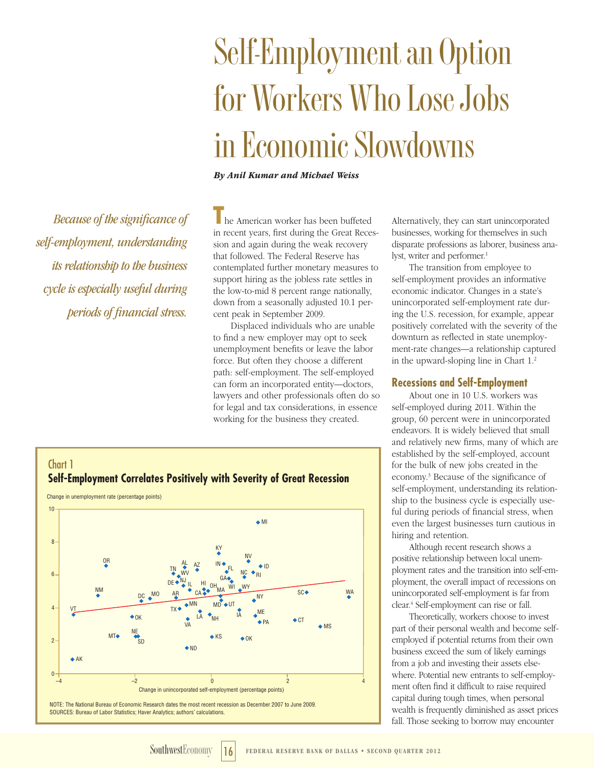# **Self-Employment an Option for Workers Who Lose Jobs in Economic Slowdowns**

*By Anil Kumar and Michael Weiss*

*Because of the significance of self-employment, understanding its relationship to the business cycle is especially useful during periods of financial stress.*

**T**he American worker has been buffeted in recent years, first during the Great Recession and again during the weak recovery that followed. The Federal Reserve has contemplated further monetary measures to support hiring as the jobless rate settles in the low-to-mid 8 percent range nationally, down from a seasonally adjusted 10.1 percent peak in September 2009.

Displaced individuals who are unable to find a new employer may opt to seek unemployment benefits or leave the labor force. But often they choose a different path: self-employment. The self-employed can form an incorporated entity—doctors, lawyers and other professionals often do so for legal and tax considerations, in essence working for the business they created.

Alternatively, they can start unincorporated businesses, working for themselves in such disparate professions as laborer, business analyst, writer and performer.<sup>1</sup>

The transition from employee to self-employment provides an informative economic indicator. Changes in a state's unincorporated self-employment rate during the U.S. recession, for example, appear positively correlated with the severity of the downturn as reflected in state unemployment-rate changes—a relationship captured in the upward-sloping line in Chart 1.2

## **Recessions and Self-Employment**

About one in 10 U.S. workers was self-employed during 2011. Within the group, 60 percent were in unincorporated endeavors. It is widely believed that small and relatively new firms, many of which are established by the self-employed, account for the bulk of new jobs created in the economy.3 Because of the significance of self-employment, understanding its relationship to the business cycle is especially useful during periods of financial stress, when even the largest businesses turn cautious in hiring and retention.

Although recent research shows a positive relationship between local unemployment rates and the transition into self-employment, the overall impact of recessions on unincorporated self-employment is far from clear.4 Self-employment can rise or fall.

Theoretically, workers choose to invest part of their personal wealth and become selfemployed if potential returns from their own business exceed the sum of likely earnings from a job and investing their assets elsewhere. Potential new entrants to self-employment often find it difficult to raise required capital during tough times, when personal wealth is frequently diminished as asset prices fall. Those seeking to borrow may encounter



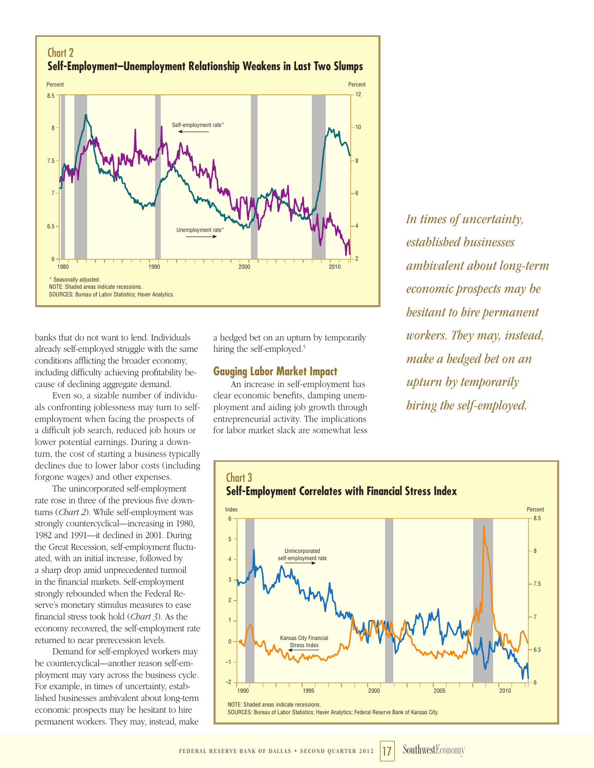

banks that do not want to lend. Individuals already self-employed struggle with the same conditions afflicting the broader economy, including difficulty achieving profitability because of declining aggregate demand.

Even so, a sizable number of individuals confronting joblessness may turn to selfemployment when facing the prospects of a difficult job search, reduced job hours or lower potential earnings. During a downturn, the cost of starting a business typically declines due to lower labor costs (including forgone wages) and other expenses.

The unincorporated self-employment rate rose in three of the previous five downturns (*Chart 2*). While self-employment was strongly countercyclical—increasing in 1980, 1982 and 1991—it declined in 2001. During the Great Recession, self-employment fluctuated, with an initial increase, followed by a sharp drop amid unprecedented turmoil in the financial markets. Self-employment strongly rebounded when the Federal Reserve's monetary stimulus measures to ease financial stress took hold (*Chart 3*). As the economy recovered, the self-employment rate returned to near prerecession levels.

Demand for self-employed workers may be countercyclical—another reason self-employment may vary across the business cycle. For example, in times of uncertainty, established businesses ambivalent about long-term economic prospects may be hesitant to hire permanent workers. They may, instead, make

a hedged bet on an upturn by temporarily hiring the self-employed.<sup>5</sup>

## **Gauging Labor Market Impact**

An increase in self-employment has clear economic benefits, damping unemployment and aiding job growth through entrepreneurial activity. The implications for labor market slack are somewhat less

*In times of uncertainty, established businesses ambivalent about long-term economic prospects may be hesitant to hire permanent workers. They may, instead, make a hedged bet on an upturn by temporarily hiring the self-employed.*

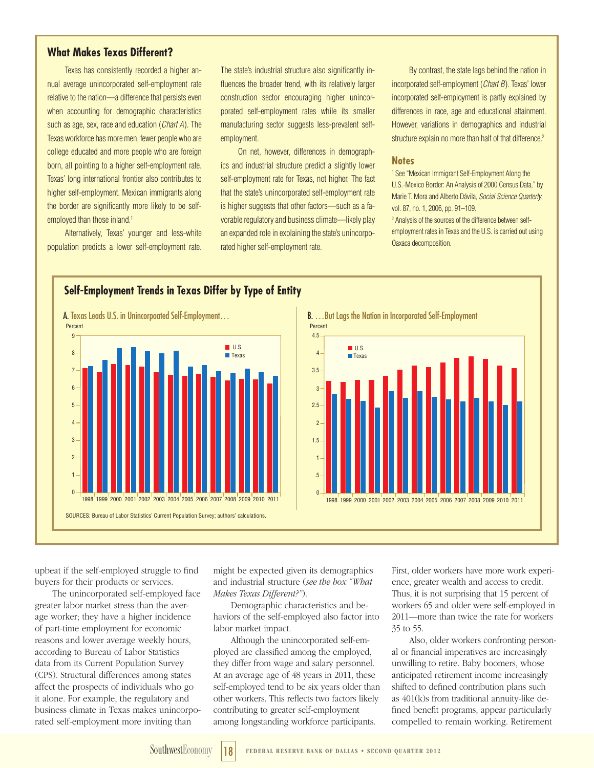# **What Makes Texas Different?**

Texas has consistently recorded a higher annual average unincorporated self-employment rate relative to the nation—a difference that persists even when accounting for demographic characteristics such as age, sex, race and education (*Chart A*). The Texas workforce has more men, fewer people who are college educated and more people who are foreign born, all pointing to a higher self-employment rate. Texas' long international frontier also contributes to higher self-employment. Mexican immigrants along the border are significantly more likely to be selfemployed than those inland.<sup>1</sup>

Alternatively, Texas' younger and less-white population predicts a lower self-employment rate. The state's industrial structure also significantly influences the broader trend, with its relatively larger construction sector encouraging higher unincorporated self-employment rates while its smaller manufacturing sector suggests less-prevalent selfemployment.

On net, however, differences in demographics and industrial structure predict a slightly lower self-employment rate for Texas, not higher. The fact that the state's unincorporated self-employment rate is higher suggests that other factors—such as a favorable regulatory and business climate—likely play an expanded role in explaining the state's unincorporated higher self-employment rate.

By contrast, the state lags behind the nation in incorporated self-employment (*Chart B*). Texas' lower incorporated self-employment is partly explained by differences in race, age and educational attainment. However, variations in demographics and industrial structure explain no more than half of that difference.<sup>2</sup>

#### **Notes**

1 See "Mexican Immigrant Self-Employment Along the U.S.-Mexico Border: An Analysis of 2000 Census Data," by Marie T. Mora and Alberto Dávila, *Social Science Quarterly*, vol. 87, no. 1, 2006, pp. 91–109.

2 Analysis of the sources of the difference between selfemployment rates in Texas and the U.S. is carried out using Oaxaca decomposition.



# **Self-Employment Trends in Texas Differ by Type of Entity**



upbeat if the self-employed struggle to find buyers for their products or services.

The unincorporated self-employed face greater labor market stress than the average worker; they have a higher incidence of part-time employment for economic reasons and lower average weekly hours, according to Bureau of Labor Statistics data from its Current Population Survey (CPS). Structural differences among states affect the prospects of individuals who go it alone. For example, the regulatory and business climate in Texas makes unincorporated self-employment more inviting than

might be expected given its demographics and industrial structure (*see the box "What Makes Texas Different?"*).

Demographic characteristics and behaviors of the self-employed also factor into labor market impact.

Although the unincorporated self-employed are classified among the employed, they differ from wage and salary personnel. At an average age of 48 years in 2011, these self-employed tend to be six years older than other workers. This reflects two factors likely contributing to greater self-employment among longstanding workforce participants.

First, older workers have more work experience, greater wealth and access to credit. Thus, it is not surprising that 15 percent of workers 65 and older were self-employed in 2011—more than twice the rate for workers 35 to 55.

Also, older workers confronting personal or financial imperatives are increasingly unwilling to retire. Baby boomers, whose anticipated retirement income increasingly shifted to defined contribution plans such as 401(k)s from traditional annuity-like defined benefit programs, appear particularly compelled to remain working. Retirement